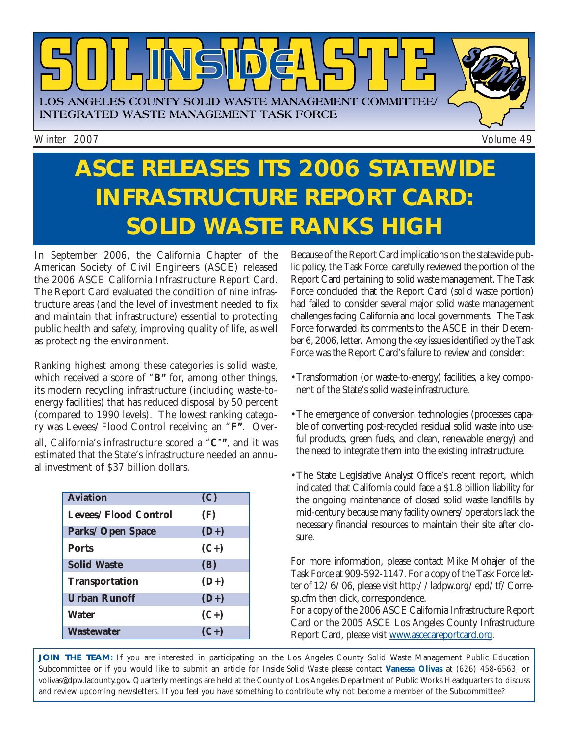

Winter 2007 **Volume 49** 

## **ASCE RELEASES ITS 2006 STATEWIDE INFRASTRUCTURE REPORT CARD: SOLID WASTE RANKS HIGH**

In September 2006, the California Chapter of the American Society of Civil Engineers (ASCE) released the 2006 ASCE California Infrastructure Report Card. The Report Card evaluated the condition of nine infrastructure areas (and the level of investment needed to fix and maintain that infrastructure) essential to protecting public health and safety, improving quality of life, as well as protecting the environment.

Ranking highest among these categories is solid waste, which received a score of "*B"* for, among other things, its modern recycling infrastructure (including waste-toenergy facilities) that has reduced disposal by 50 percent (compared to 1990 levels). The lowest ranking category was Levees/Flood Control receiving an "*F"*. Overall, California's infrastructure scored a "*C-"*, and it was estimated that the State's infrastructure needed an annual investment of \$37 billion dollars.

| <b>Aviation</b>       | (C)    |
|-----------------------|--------|
| Levees/Flood Control  | (F)    |
| Parks/Open Space      | $(D+)$ |
| <b>Ports</b>          | $(C+)$ |
| <b>Solid Waste</b>    | (B)    |
| <b>Transportation</b> | $(D+)$ |
| <b>Urban Runoff</b>   | $(D+)$ |
| <b>Water</b>          | $(C+)$ |
| <b>Wastewater</b>     | $(C+)$ |

Because of the Report Card implications on the statewide public policy, the Task Force carefully reviewed the portion of the Report Card pertaining to solid waste management. The Task Force concluded that the Report Card (solid waste portion) had failed to consider several major solid waste management challenges facing California and local governments. The Task Force forwarded its comments to the ASCE in their December 6, 2006, letter. Among the key issues identified by the Task Force was the Report Card's failure to review and consider:

- •Transformation (or waste-to-energy) facilities, a key component of the State's solid waste infrastructure.
- •The emergence of conversion technologies (processes capable of converting post-recycled residual solid waste into useful products, green fuels, and clean, renewable energy) and the need to integrate them into the existing infrastructure.
- •The State Legislative Analyst Office's recent report, which indicated that California could face a \$1.8 billion liability for the ongoing maintenance of closed solid waste landfills by mid-century because many facility owners/operators lack the necessary financial resources to maintain their site after closure.

For more information, please contact Mike Mohajer of the Task Force at 909-592-1147. For a copy of the Task Force let[ter of 12/6/06, please visit http://ladpw.org/epd/tf/Corre](http://ladpw.org/epd/tf/Corresp.cfm)sp.cfm then click, correspondence.

For a copy of the 2006 ASCE California Infrastructure Report Card or the 2005 ASCE Los Angeles County Infrastructure Report Card, please visi[t www.ascecareportcard.org.](http://www.ascecareportcard.org./) 

JOIN THE TEAM: If you are interested in participating on the Los Angeles County Solid Waste Management Public Education Subcommittee or if you would like to submit an article for *Inside Solid Waste* please contact **Vanessa Olivas** at (626) 458-6563, or [volivas@dpw.lacounty.gov. Q](mailto://volivas@dpw.lacounty.gov)uarterly meetings are held at the County of Los Angeles Department of Public Works Headquarters to discuss and review upcoming newsletters. If you feel you have something to contribute why not become a member of the Subcommittee?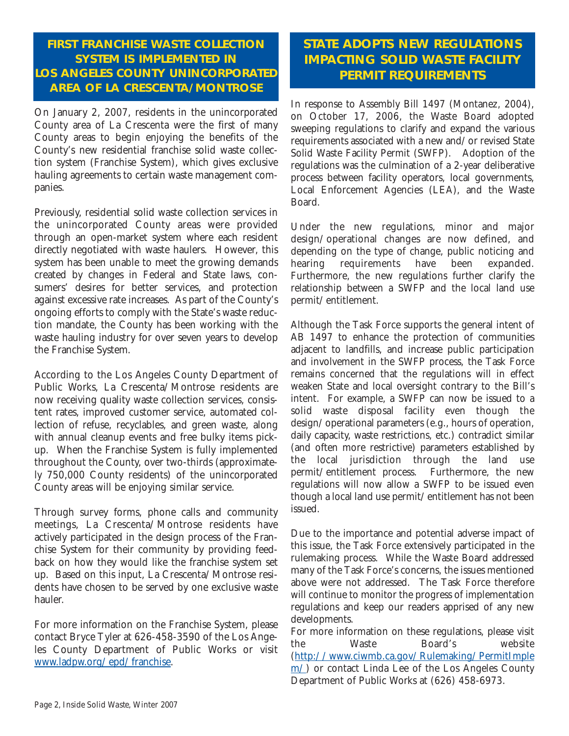### **FIRST FRANCHISE WASTE COLLECTION SYSTEM IS IMPLEMENTED IN LOS ANGELES COUNTY UNINCORPORATED AREA OF LA CRESCENTA/MONTROSE**

On January 2, 2007, residents in the unincorporated County area of La Crescenta were the first of many County areas to begin enjoying the benefits of the County's new residential franchise solid waste collection system (Franchise System), which gives exclusive hauling agreements to certain waste management companies.

Previously, residential solid waste collection services in the unincorporated County areas were provided through an open-market system where each resident directly negotiated with waste haulers. However, this system has been unable to meet the growing demands created by changes in Federal and State laws, consumers' desires for better services, and protection against excessive rate increases. As part of the County's ongoing efforts to comply with the State's waste reduction mandate, the County has been working with the waste hauling industry for over seven years to develop the Franchise System.

According to the Los Angeles County Department of Public Works, La Crescenta/Montrose residents are now receiving quality waste collection services, consistent rates, improved customer service, automated collection of refuse, recyclables, and green waste, along with annual cleanup events and free bulky items pickup. When the Franchise System is fully implemented throughout the County, over two-thirds (approximately 750,000 County residents) of the unincorporated County areas will be enjoying similar service.

Through survey forms, phone calls and community meetings, La Crescenta/Montrose residents have actively participated in the design process of the Franchise System for their community by providing feedback on how they would like the franchise system set up. Based on this input, La Crescenta/Montrose residents have chosen to be served by one exclusive waste hauler.

For more information on the Franchise System, please contact Bryce Tyler at 626-458-3590 of the Los Angeles County Department of Public Works or visit [www.ladpw.org/epd/franchise.](http://www.ladpw.org/epd/franchise/)

### **STATE ADOPTS NEW REGULATIONS IMPACTING SOLID WASTE FACILITY PERMIT REQUIREMENTS**

In response to Assembly Bill 1497 (Montanez, 2004), on October 17, 2006, the Waste Board adopted sweeping regulations to clarify and expand the various requirements associated with a new and/or revised State Solid Waste Facility Permit (SWFP). Adoption of the regulations was the culmination of a 2-year deliberative process between facility operators, local governments, Local Enforcement Agencies (LEA), and the Waste Board.

Under the new regulations, minor and major design/operational changes are now defined, and depending on the type of change, public noticing and hearing requirements have been expanded. Furthermore, the new regulations further clarify the relationship between a SWFP and the local land use permit/entitlement.

Although the Task Force supports the general intent of AB 1497 to enhance the protection of communities adjacent to landfills, and increase public participation and involvement in the SWFP process, the Task Force remains concerned that the regulations will in effect weaken State and local oversight contrary to the Bill's intent. For example, a SWFP can now be issued to a solid waste disposal facility even though the design/operational parameters (e.g., hours of operation, daily capacity, waste restrictions, etc.) contradict similar (and often more restrictive) parameters established by the local jurisdiction through the land use permit/entitlement process. Furthermore, the new regulations will now allow a SWFP to be issued even though a local land use permit/entitlement has not been issued.

Due to the importance and potential adverse impact of this issue, the Task Force extensively participated in the rulemaking process. While the Waste Board addressed many of the Task Force's concerns, the issues mentioned above were not addressed. The Task Force therefore will continue to monitor the progress of implementation regulations and keep our readers apprised of any new developments.

For more information on these regulations, please visit the Waste Board's website [\(http://www.ciwmb.ca.gov/Rulemaking/PermitImple](http://www.ciwmb.ca.gov/Rulemaking/PermitImplem/)  $m/$ ) or contact Linda Lee of the Los Angeles County Department of Public Works at (626) 458-6973.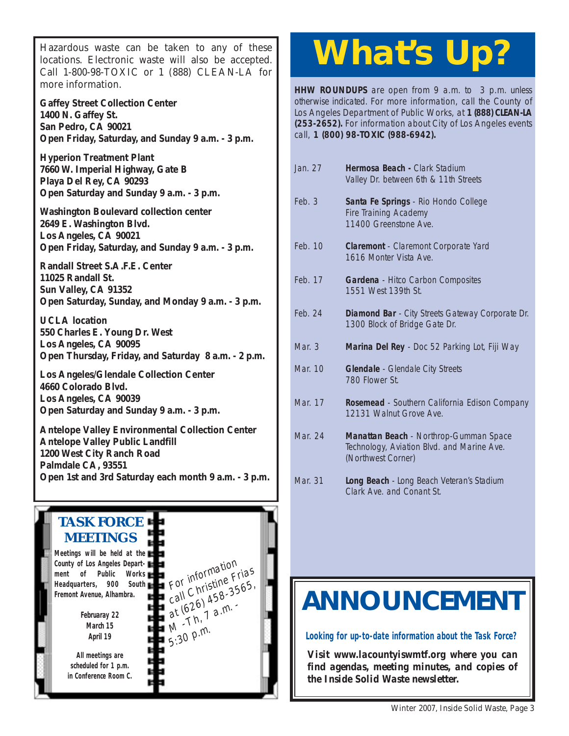Hazardous waste can be taken to any of these locations. Electronic waste will also be accepted. Call 1-800-98-TOXIC or 1 (888) CLEAN-LA for more information.

**Gaffey Street Collection Center 1400 N. Gaffey St. San Pedro, CA 90021 Open Friday, Saturday, and Sunday 9 a.m. - 3 p.m.**

**Hyperion Treatment Plant 7660 W. Imperial Highway, Gate B Playa Del Rey, CA 90293 Open Saturday and Sunday 9 a.m. - 3 p.m.**

**Washington Boulevard collection center 2649 E. Washington Blvd. Los Angeles, CA 90021 Open Friday, Saturday, and Sunday 9 a.m. - 3 p.m.**

**Randall Street S.A.F.E. Center 11025 Randall St. Sun Valley, CA 91352 Open Saturday, Sunday, and Monday 9 a.m. - 3 p.m.**

**UCLA location 550 Charles E. Young Dr. West Los Angeles, CA 90095 [Open Thursday, Friday, and Saturday 8 a.m. - 2 p.m.](http://www.lacity.org/san/solid_resources/special/hhw/safe_centers/index.htm)**

**Los Angeles/Glendale Collection Center 4660 Colorado Blvd. Los Angeles, CA 90039 Open Saturday and Sunday 9 a.m. - 3 p.m.**

**Antelope Valley Environmental Collection Center Antelope Valley Public Landfill 1200 West City Ranch Road Palmdale CA, 93551 [Open 1st and 3rd Saturday each month 9 a.m. - 3 p.m.](http://ladpw.org/epd/avecc/index.cfm)**

#### **TASK FORCE MEETINGS Meetings will be held at the County of Los Angeles Department of Public Works Headquarters, 900 South Fremont Avenue, Alhambra. All meetings are scheduled for 1 p.m. in Conference Room C.** For information<br>For information For information Frias<br>call Christine 7565, For christing 3565,<br>call Christing 3565,<br>at (626 1 a.m. at  $6207$  a.m.  $5:30$  p.m. **Februaray 22 March 15 April 19**

# **What's Up?**

**HHW ROUNDUPS** are open from 9 a.m. to 3 p.m. unless otherwise indicated. For more information, call the County of Los Angeles Department of Public Works, at **1 (888) CLEAN-LA (253-2652).** For information about City of Los Angeles events call, **1 (800) 98-TOXIC (988-6942).**

| Jan. 27  | Hermosa Beach - Clark Stadium<br>Valley Dr. between 6th & 11th Streets                                     |
|----------|------------------------------------------------------------------------------------------------------------|
| Feb.3    | Santa Fe Springs - Rio Hondo College<br><b>Fire Training Academy</b><br>11400 Greenstone Ave.              |
| Feb. 10  | Claremont - Claremont Corporate Yard<br>1616 Monter Vista Ave.                                             |
| Feb. 17  | <b>Gardena</b> - Hitco Carbon Composites<br>1551 West 139th St.                                            |
| Feb. 24  | Diamond Bar - City Streets Gateway Corporate Dr.<br>1300 Block of Bridge Gate Dr.                          |
|          |                                                                                                            |
| Mar. $3$ | Marina Del Rey - Doc 52 Parking Lot, Fiji Way                                                              |
| Mar. 10  | Glendale - Glendale City Streets<br>780 Flower St                                                          |
| Mar. 17  | Rosemead - Southern California Edison Company<br>12131 Walnut Grove Ave.                                   |
| Mar. 24  | Manattan Beach - Northrop-Gumman Space<br>Technology, Aviation Blvd. and Marine Ave.<br>(Northwest Corner) |

## **[ANNOUNCEMENT](http://ladpw.org/epd/tf/)**

**Looking for up-to-date information about the Task Force?**

*Visit www.lacountyiswmtf.org where you can find agendas, meeting minutes, and copies of the Inside Solid Waste newsletter.*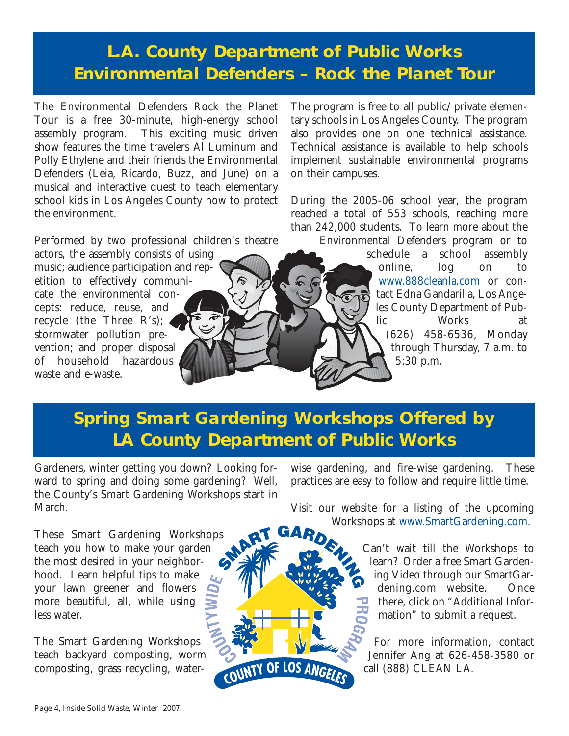### **L.A. County Department of Public Works Environmental Defenders – Rock the Planet Tour**

The Environmental Defenders Rock the Planet Tour is a free 30-minute, high-energy school assembly program. This exciting music driven show features the time travelers Al Luminum and Polly Ethylene and their friends the Environmental Defenders (Leia, Ricardo, Buzz, and June) on a musical and interactive quest to teach elementary school kids in Los Angeles County how to protect the environment.

Performed by two professional children's theatre

actors, the assembly consists of using music; audience participation and repetition to effectively communicate the environmental concepts: reduce, reuse, and recycle (the Three R's); stormwater pollution prevention; and proper disposal of household hazardous waste and e-waste.

The program is free to all public/private elementary schools in Los Angeles County. The program also provides one on one technical assistance. Technical assistance is available to help schools implement sustainable environmental programs on their campuses.

During the 2005-06 school year, the program reached a total of 553 schools, reaching more than 242,000 students. To learn more about the Environmental Defenders program or to

schedule a school assembly online, log on to [www.888cleanla.com](http://ladpw.org/epd/) or contact Edna Gandarilla, Los Angeles County Department of Public Works at (626) 458-6536, Monday through Thursday, 7 a.m. to 5:30 p.m.

## **Spring Smart Gardening Workshops Offered by LA County Department of Public Works**

Gardeners, winter getting you down? Looking forward to spring and doing some gardening? Well, the County's Smart Gardening Workshops start in March.

These Smart Gardening Workshops teach you how to make your garden the most desired in your neighborhood. Learn helpful tips to make your lawn greener and flowers more beautiful, all, while using less water.

The Smart Gardening Workshops teach backyard composting, worm composting, grass recycling, waterwise gardening, and fire-wise gardening. These practices are easy to follow and require little time.

Visit our website for a listing of the upcoming Workshops at [www.SmartGardening.com.](http://ladpw.org/epd/sg/index.cfm) 

> Can't wait till the Workshops to learn? Order a free Smart Gardening Video through our SmartGardening.com website. Once there, click on "Additional Information" to submit a request.

> For more information, contact Jennifer Ang at 626-458-3580 or call (888) CLEAN LA.

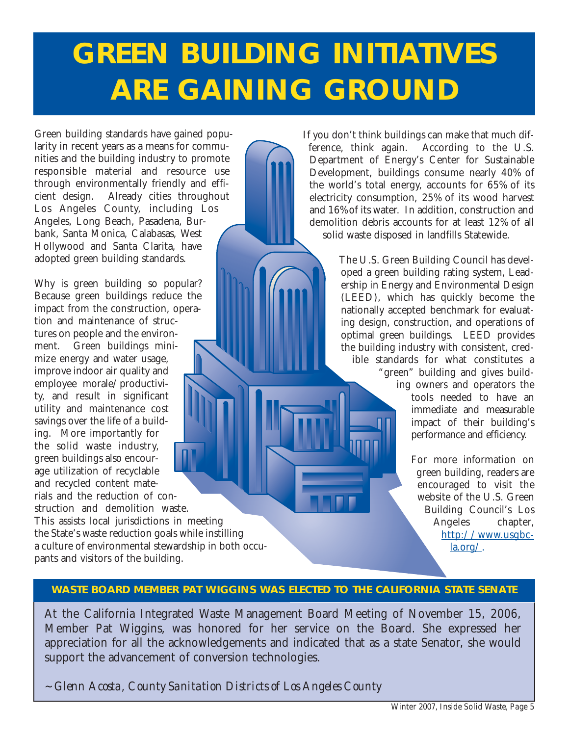# **GREEN BUILDING INITIATIVES ARE GAINING GROUND**

Green building standards have gained popularity in recent years as a means for communities and the building industry to promote responsible material and resource use through environmentally friendly and efficient design. Already cities throughout Los Angeles County, including Los Angeles, Long Beach, Pasadena, Burbank, Santa Monica, Calabasas, West Hollywood and Santa Clarita, have adopted green building standards.

Why is green building so popular? Because green buildings reduce the impact from the construction, operation and maintenance of structures on people and the environment. Green buildings minimize energy and water usage, improve indoor air quality and employee morale/productivity, and result in significant utility and maintenance cost savings over the life of a building. More importantly for the solid waste industry, green buildings also encourage utilization of recyclable and recycled content materials and the reduction of construction and demolition waste.

This assists local jurisdictions in meeting the State's waste reduction goals while instilling a culture of environmental stewardship in both occupants and visitors of the building.

If you don't think buildings can make that much difference, think again. According to the U.S. Department of Energy's Center for Sustainable Development, buildings consume nearly 40% of the world's total energy, accounts for 65% of its electricity consumption, 25% of its wood harvest and 16% of its water. In addition, construction and demolition debris accounts for at least 12% of all solid waste disposed in landfills Statewide.

> The U.S. Green Building Council has developed a green building rating system, Leadership in Energy and Environmental Design (LEED), which has quickly become the nationally accepted benchmark for evaluating design, construction, and operations of optimal green buildings. LEED provides the building industry with consistent, credible standards for what constitutes a "green" building and gives building owners and operators the tools needed to have an immediate and measurable impact of their building's performance and efficiency.

> > For more information on green building, readers are encouraged to visit the website of the U.S. Green Building Council's Los Angeles chapter, [http://www.usgbc](http://www.usgbc-la.org/)la.org/.

#### **WASTE BOARD MEMBER PAT WIGGINS WAS ELECTED TO THE CALIFORNIA STATE SENATE**

At the California Integrated Waste Management Board Meeting of November 15, 2006, Member Pat Wiggins, was honored for her service on the Board. She expressed her appreciation for all the acknowledgements and indicated that as a state Senator, she would support the advancement of conversion technologies.

*~ Glenn Acosta, County Sanitation Districts of Los Angeles County*